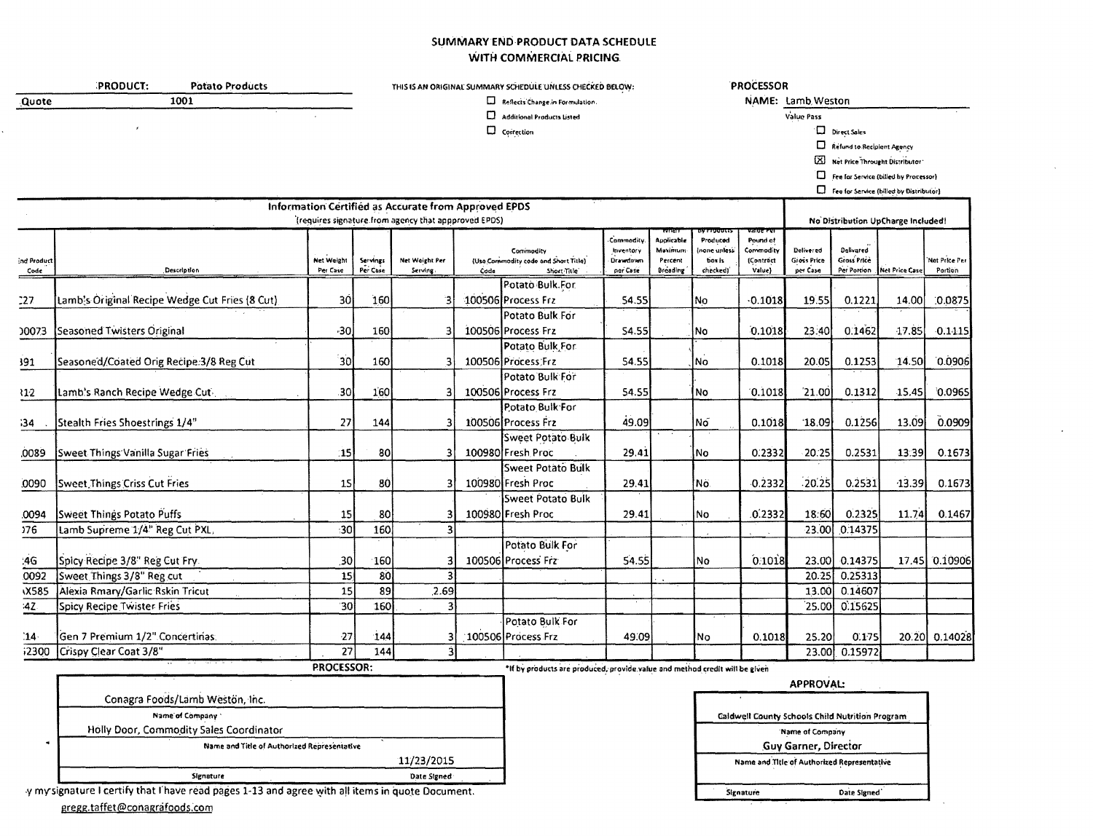## SUMMARY END PRODUCT DATA SCHEDULE WITH COMMERCIAL PRICING.

Reflects Change in Formulation.  $\square$  Additional Products Listed

|       | <b>PRODUCT:</b> |      | Potato Products |  |
|-------|-----------------|------|-----------------|--|
| Quote |                 | 1001 |                 |  |
|       |                 |      |                 |  |

<u>o di solo di col</u>

## THIS IS AN ORIGINAL SUMMARY SCHEDULE UNLESS CHECKED BELOW:

 $\Box$  Correction

PROCESSOR

NAME: Lamb Weston Value Pass

 $\Box$  Direct Sales

Refund to Recipient Agency

[X] Net Price Throught Distributor

Fee for Service (billed by Processor)

 $\square$  Fee for Service (billed by Distributor)

|                    |                                                 |                               |                      | Information Certified as Accurate from Approved EPDS<br>(requires signature from agency that appproved EPDS) |      |                                                                             |                                                |                                              |                                               |                                                         |                                       |                                         | No Distribution UpCharge Included! |                                 |
|--------------------|-------------------------------------------------|-------------------------------|----------------------|--------------------------------------------------------------------------------------------------------------|------|-----------------------------------------------------------------------------|------------------------------------------------|----------------------------------------------|-----------------------------------------------|---------------------------------------------------------|---------------------------------------|-----------------------------------------|------------------------------------|---------------------------------|
| nd Product<br>Code | Description                                     | <b>Net Weight</b><br>Per Caso | Servings<br>Per Case | Net Woight Per<br>Serving                                                                                    | Code | Commodity<br>(Use Commodity code and Shart Title)<br>Short Title            | Commodity<br>Inventory<br>Drawdown<br>per Case | Applicable<br>Maximum<br>Percent<br>Breading | Produced<br>none unlesi<br>box is<br>checkedi | anue re<br>Pound of<br>Commodity<br>(Contract<br>Value) | Doliver ad<br>Gross Price<br>per Case | Delivared<br>Gross Price<br>Per Portion | Net Price Case                     | <b>Net Price Per</b><br>Portion |
|                    |                                                 |                               |                      |                                                                                                              |      | Potato Bulk For                                                             |                                                |                                              |                                               |                                                         |                                       |                                         |                                    |                                 |
| :27                | [Lamb's Original Recipe Wedge Cut Fries (8 Cut) | 30                            | 160                  |                                                                                                              |      | 100506 Process Frz                                                          | 54.55                                          |                                              | No                                            | $-0.1018$                                               | 19.55                                 | 0.1221                                  | 14.00                              | 0.0875                          |
| 0073               | Seasoned Twisters Original                      | $-30$                         | 160                  |                                                                                                              |      | Potato Bulk For<br>100506 Process Frz                                       | 54.55                                          |                                              | lNo.                                          | 0.1018                                                  | 23:40                                 | 0.1462                                  | 17.85                              | $-0.1415$                       |
|                    |                                                 |                               |                      |                                                                                                              |      | Potato Bulk For                                                             |                                                |                                              |                                               |                                                         |                                       |                                         |                                    |                                 |
| 191                | Seasoned/Coated Orig Recipe:3/8 Reg Cut         | 30                            | 160                  | 3                                                                                                            |      | 100506 Process Frz                                                          | 54.55                                          |                                              | No)                                           | 0.1018                                                  | 20.05                                 | 0.1253                                  | 14.50                              | 0.0906                          |
|                    |                                                 |                               |                      |                                                                                                              |      | Potato Bulk For                                                             |                                                |                                              |                                               |                                                         |                                       |                                         |                                    |                                 |
| $v_{12}$           | Lamb's Ranch Recipe Wedge Cut                   | .30                           | 160                  |                                                                                                              |      | 100506 Process Frz                                                          | 54.55                                          |                                              | No                                            | 0.1018                                                  | 21.00                                 | 0.1312                                  | 15.45                              | 0.0965                          |
|                    |                                                 |                               |                      |                                                                                                              |      | Potato Bulk For                                                             |                                                |                                              |                                               |                                                         |                                       |                                         |                                    |                                 |
| 34                 | Stealth Fries Shoestrings 1/4"                  | 27                            | 144                  |                                                                                                              |      | 100506 Process Frz                                                          | 49.09                                          |                                              | Nő                                            | 0.1018                                                  | 18.09                                 | 0.1256                                  | 13.09                              | 0.0909                          |
|                    |                                                 |                               |                      |                                                                                                              |      | <b>Sweet Potato Bulk</b>                                                    |                                                |                                              |                                               |                                                         |                                       |                                         |                                    |                                 |
| 0089               | Sweet Things Vanilla Sugar Fries                | 15                            | 80                   |                                                                                                              |      | 100980 Fresh Proc                                                           | 29.41                                          |                                              | No                                            | 0.2332                                                  | 20:25                                 | 0.2531                                  | 13:39                              | 0.1673                          |
|                    |                                                 |                               |                      |                                                                                                              |      | Sweet Potato Bulk                                                           |                                                |                                              |                                               |                                                         |                                       |                                         |                                    |                                 |
| 0090               | Sweet Things Criss Cut Fries                    | 15                            | 80                   |                                                                                                              |      | 100980 Fresh Proc                                                           | 29.41                                          |                                              | Nö.                                           | $-0.2332$                                               | 20.25                                 | 0.2531                                  | $-13.39$                           | 0.1673                          |
|                    |                                                 |                               |                      |                                                                                                              |      | Sweet Potato Bulk                                                           |                                                |                                              |                                               |                                                         |                                       |                                         |                                    |                                 |
| 0094               | Sweet Things Potato Puffs                       | 15                            | 80                   |                                                                                                              |      | 100980 Fresh Proc                                                           | 29.41                                          |                                              | lNo.                                          | .0.2332                                                 | 18:60                                 | 0.2325                                  | 11.74                              | 0.1467                          |
| 376                | Lamb Supreme 1/4" Reg Cut PXL,                  | 30                            | 160                  |                                                                                                              |      |                                                                             |                                                |                                              |                                               |                                                         | <b>23.00L</b>                         | 0.14375                                 |                                    |                                 |
| :46                | Spicy Recipe 3/8" Reg Cut Fry.                  | .30                           | 160                  |                                                                                                              |      | Potato Bulk For<br>100506 Process Frz                                       | 54.55                                          |                                              | lNo                                           | 0.1018                                                  | 23.00                                 | 0.14375                                 |                                    | 17.45 0.10906                   |
| 0092               | Sweet Things 3/8" Reg cut                       | 15                            | 80                   |                                                                                                              |      |                                                                             |                                                |                                              |                                               |                                                         | 20.25                                 | 0.25313                                 |                                    |                                 |
| <b>X585</b>        | Alexia Rmary/Garlic Rskin Tricut                | 15                            | 89                   | 2.69                                                                                                         |      |                                                                             |                                                |                                              |                                               |                                                         | 13.00                                 | 0.14607                                 |                                    |                                 |
| :42                | Spicy Recipe Twister Fries                      | 30                            | 160                  | ٩                                                                                                            |      |                                                                             |                                                |                                              |                                               |                                                         | 25.00                                 | 0.15625                                 |                                    |                                 |
| $14-$              | Gen 7 Premium 1/2" Concertinas:                 | 27                            | 144                  |                                                                                                              |      | Potato Bulk For<br>100506 Process Frz                                       | 49.09                                          |                                              | lNo.                                          | 0.1018                                                  | 25.20                                 | 0.175                                   |                                    | 20.20 0.14028                   |
| 12300              | Crispy Clear Coat 3/8"                          | 27                            | 144                  |                                                                                                              |      |                                                                             |                                                |                                              |                                               |                                                         | 23.00                                 | 0.15972                                 |                                    |                                 |
|                    |                                                 | <b>PROCESSOR:</b>             |                      |                                                                                                              |      | *If by products are produced, provide value and method credit will be given |                                                |                                              |                                               |                                                         |                                       |                                         |                                    |                                 |
|                    |                                                 |                               |                      |                                                                                                              |      |                                                                             |                                                |                                              |                                               |                                                         | <b>APPROVAL:</b>                      |                                         |                                    |                                 |

| Conagra Foods/Lamb Weston, Inc.             |             |
|---------------------------------------------|-------------|
| Name of Company                             |             |
| Holly Door, Commodity Sales Coordinator     |             |
| Name and Title of Authorized Representative |             |
|                                             | 11/23/2015  |
| Signature                                   | Date Signed |

|           | Caldwell County Schools Child Nutrition Program |
|-----------|-------------------------------------------------|
|           | 'Name of Company                                |
|           | <b>Guy Garner, Director</b>                     |
|           | Name and Title of Authorized Representative     |
|           |                                                 |
| Signature | Date Signed                                     |

y my signature I certify that I have read pages 1-13 and agree with all items in quote Document.

gregg.taffet@conagrafoods.com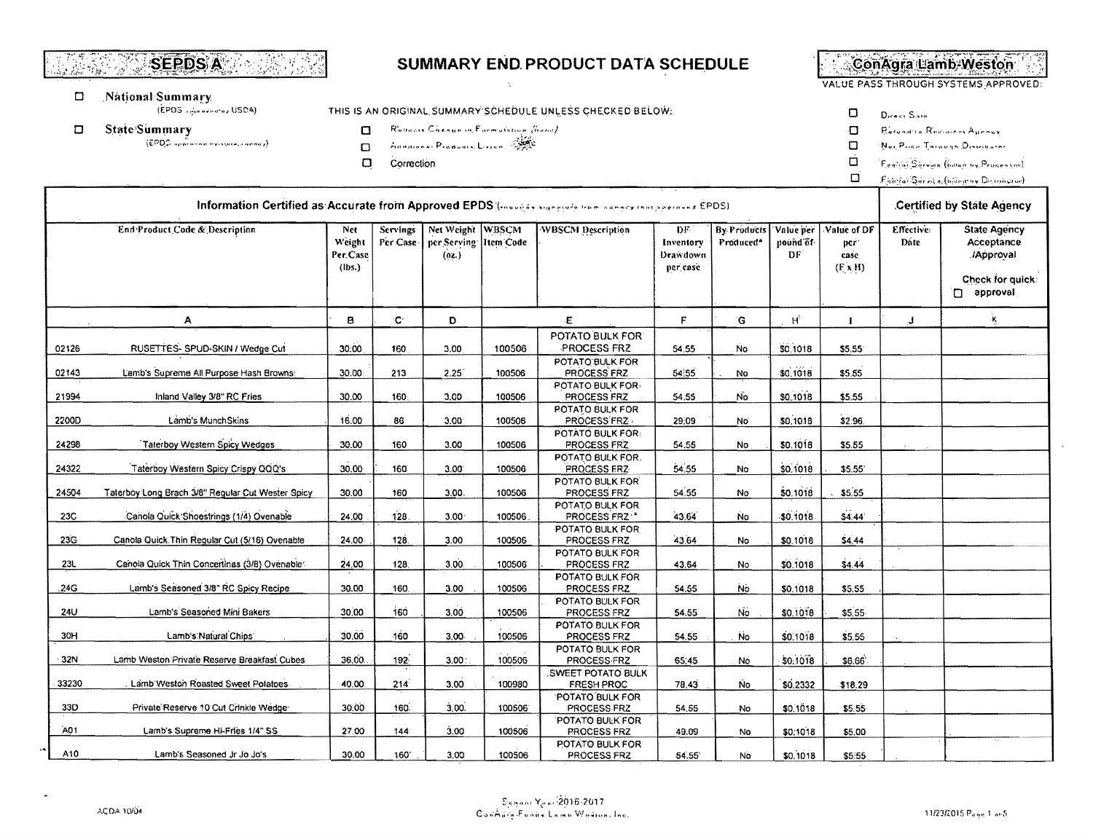#### **SEPDS A**  $\sim 2$  . isto Alexander

#### $\Box$ National Summary

(EPDS administrator USDA)

- **State Summary**  $\Box$ 
	- $(EPDS)$  approved by existence and  $p$ ).

Rollocas Chenovin Formulation (hold)

THIS IS AN ORIGINAL SUMMARY SCHEDULE UNLESS CHECKED BELOW:

- Annuore: Products Linien 3  $\Box$
- $\Box$ Correction

 $\Box$ 

ConAgra Lamb-Weston

VALUE PASS THROUGH SYSTEMS APPROVED:

- $\Box$ Direct Sale
- $\Box$ Recognize Remaining Ayersey
- $\Box$ Nei Price Through Discriburer
- Ó Feeling Sherian (Internation Proposition)
- $\Box$  $\hat{F}_i$  is  $\hat{F}_j$  is a set of  $\hat{a}_i$  (in the grow Decreasing  $\hat{F}_j$

|       | Information Certified as Accurate from Approved EPDS (roughts superior from agency facto sprayed EPDS) |                                     |                 |                                                                 |        |                                                     |                                          |                                             |                              |                                               | Certified by State Agency |                                                      |  |
|-------|--------------------------------------------------------------------------------------------------------|-------------------------------------|-----------------|-----------------------------------------------------------------|--------|-----------------------------------------------------|------------------------------------------|---------------------------------------------|------------------------------|-----------------------------------------------|---------------------------|------------------------------------------------------|--|
|       | End Product Code & Description                                                                         | Net<br>Weight<br>Per.Case<br>(lbs.) | <b>Servings</b> | Net Weight WBSCM<br>Per Case   per Serving   Item Code<br>(0t.) |        | <b>WBSCM Description</b>                            | DF.<br>Inventory<br>Drawdown<br>per case | <b>By Products</b><br>Produced <sup>*</sup> | Value per<br>pound of<br>DF. | Value of DF<br>per:<br>case<br>$(F \times H)$ | <b>Effective:</b><br>Date | <b>State Agency</b><br>Acceptance<br><b>Approval</b> |  |
|       |                                                                                                        |                                     |                 |                                                                 |        |                                                     |                                          |                                             |                              |                                               |                           | Check for quick:<br>n approval                       |  |
|       | А                                                                                                      | B                                   | <b>C</b>        | D                                                               |        | E.                                                  | F                                        | G                                           | $H^{\dagger}$                |                                               | $\mathbf{J}$              | ٠Ķ                                                   |  |
| 02126 | RUSETTES- SPUD-SKIN / Wedge Cut                                                                        | 30.00                               | 160             | 3,00                                                            | 100506 | POTATO BULK FOR:<br><b>PROCESS FRZ</b>              | 54.55                                    | <b>No</b>                                   | \$0,1018                     | \$5,55                                        |                           |                                                      |  |
| 02143 | Lamb's Supreme All Purpose Hash Browns!                                                                | 30.00                               | 213             | 2.25                                                            | 100506 | POTATO BULK FOR<br>PROCESS FRZ                      | 54,55                                    | <b>No</b>                                   | \$0.1018                     | \$5.55                                        |                           |                                                      |  |
| 21994 | Inland Valley 3/8" RC Fries                                                                            | 30.00                               | 160:            | 3.00                                                            | 100506 | POTATO BULK FOR-<br>PROCESS FRZ                     | 54.55                                    | No                                          | \$0,1018                     | \$5.55                                        |                           |                                                      |  |
| 2200D | Lamb's MunchSkins                                                                                      | 16.00                               | 86              | 3.00 <sub>1</sub>                                               | 100506 | POTATO BULK FOR<br>PROCESS FRZ.<br>POTATO BULK FOR: | 29:09                                    | No.                                         | \$0,1018                     | \$2.96.                                       |                           |                                                      |  |
| 24298 | Taterboy Western Spicy Wedges                                                                          | 30.00                               | 160             | 3.00                                                            | 100506 | PROCESS FRZ<br>POTATO BULK FOR.                     | 54.55                                    | No                                          | \$0.1018                     | \$5.55                                        |                           |                                                      |  |
| 24322 | Taterboy Western Spicy Crispy OOQ's                                                                    | 30.00                               | 160             | $3.00^{\circ}$                                                  | 100506 | PROCESS FRZ<br>POTATO BULK FOR                      | 54.55                                    | No.                                         | \$0,1018                     | \$5.55                                        |                           |                                                      |  |
| 24504 | Taterboy Long Brach 3/8" Regular Cut Wester Spicy                                                      | 30.00                               | 160             | 3.00.                                                           | 100506 | PROCESS FRZ                                         | 54.55                                    | No                                          | \$0,1018                     | \$5.55                                        |                           |                                                      |  |
| 23C   | Canola Quick Shoestrings (1/4) Ovenable                                                                | 24.00                               | 128.            | 3.00 <sub>1</sub>                                               | 100506 | POTATO BULK FOR<br>PROCESS FRZ                      | 43.64                                    | No                                          | $-50.1018$                   | \$4.44                                        |                           |                                                      |  |
| 23G   | Canola Quick. Thin Regular Cut (5/16) Ovenable                                                         | 24.00                               | 128.            | 3,00                                                            | 100506 | POTATO BULK FOR<br>PROCESS FRZ                      | 43.64                                    | No                                          | \$0.1018                     | \$4.44                                        |                           |                                                      |  |
| 23L   | Canola Quick Thin Concertinas (3/8) Ovenable                                                           | 24.00                               | 128.            | 3,00.                                                           | 100506 | POTATO BULK FOR<br>PROCESS FRZ                      | 43.64                                    | No                                          | \$0.1018                     | \$4.44                                        |                           |                                                      |  |
| .24G  | Lamb's Seasoned 3/8" RC Spicy Recipe                                                                   | 30.00                               | 160             | 3.00                                                            | 100506 | POTATO BULK FOR<br>PROCESS FRZ                      | 54.55                                    | No.                                         | \$0,1018                     | \$5.55                                        |                           |                                                      |  |
| 24U   | Lamb's Seasoned Mini Bakers                                                                            | 30.00                               | 160             | 3.00                                                            | 100506 | POTATO BULK FOR<br>PROCESS FRZ<br>POTATO BULK FOR   | 54.55                                    | Νö                                          | \$0,1018                     | \$5,55                                        |                           |                                                      |  |
| 30H   | Lamb's Natural Chips                                                                                   | 30.00                               | 160             | $3.00 -$                                                        | 100506 | PROCESS FRZ<br>POTATO BULK FOR                      | 54.55                                    | <b>No</b>                                   | \$0,1018                     | \$5.55                                        |                           |                                                      |  |
| 32N   | Lamb Weston Private Reserve Breakfast Cubes                                                            | 36.00:                              | 192:            | 3,00:                                                           | 100506 | PROCESS FRZ                                         | 65:45                                    | Nó                                          | \$0.1018                     | \$6.66                                        |                           |                                                      |  |
| 33230 | Lamb Weston Roasted Sweet Potatoes                                                                     | 40,00                               | 214             | 3.00                                                            | 100980 | <b>SWEET POTATO BULK</b><br>FRESH PROC              | 78,43                                    | <b>No</b>                                   | \$0.2332                     | \$18.29                                       |                           |                                                      |  |
| 33D   | Private Reserve 10 Cut Crinkle Wedge                                                                   | 30.00                               | 160.            | 3.00.                                                           | 100506 | <b>POTATO BULK FOR</b><br>PROCESS FRZ               | 54.55                                    | No                                          | \$0,1018                     | \$5.55                                        |                           |                                                      |  |
| A01   | Lamb's Supreme Hi-Fries 1/4" SS                                                                        | 27.00                               | 144             | 3.00                                                            | 100506 | POTATO BULK FOR<br>PROCESS FRZ                      | 49.09                                    | No                                          | \$0:1018                     | \$5.00                                        |                           |                                                      |  |
| A10   | Lamb's Seasoned Jr Jo Jo's                                                                             | 30.00                               | 160'            | 3,00                                                            | 100506 | POTATO BULK FOR<br>PROCESS FRZ                      | 54.55                                    | No                                          | \$0,1018                     | \$5.55                                        |                           |                                                      |  |

SUMMARY END PRODUCT DATA SCHEDULE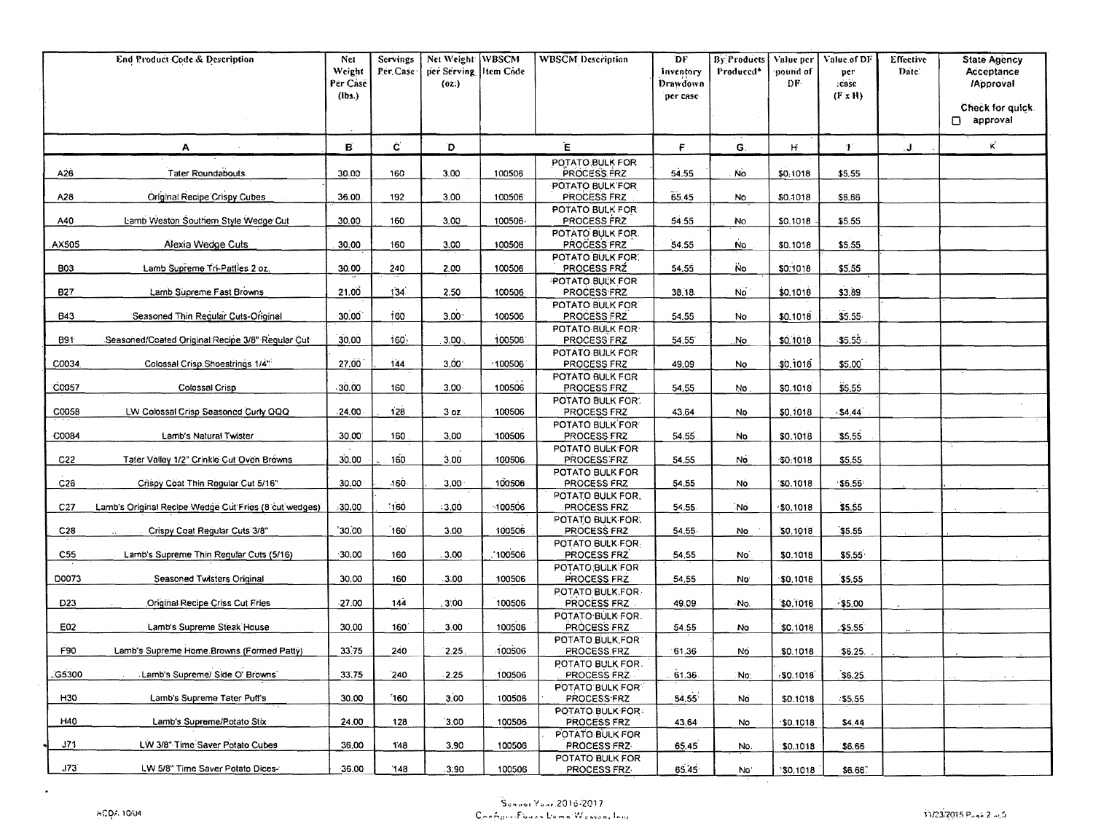|                  | <b>End Product Code &amp; Description</b>             | Net<br>Weight<br>Per Case<br>$(\mathsf{lbs.})$ | Servings<br>Per Case | Net Weight WBSCM<br>per Serving litem Code<br>(0z) |         | <b>WBSCM</b> Description               | DF<br>Inventory<br>Drawdown<br>per case | By Products<br>Produced* | Value per<br>pound of<br>DF. | Value of DF<br>per<br>case.<br>(F x H) | <b>Effective</b><br>Date: | <b>State Agency</b><br>Acceptance<br><b>Approval</b><br>Check for quick.<br>approval |
|------------------|-------------------------------------------------------|------------------------------------------------|----------------------|----------------------------------------------------|---------|----------------------------------------|-----------------------------------------|--------------------------|------------------------------|----------------------------------------|---------------------------|--------------------------------------------------------------------------------------|
|                  | A                                                     | в                                              | Ċ.                   | D                                                  |         | Έ                                      | F                                       | G.                       | Η.                           | Ŧ.                                     | J.                        | K.                                                                                   |
|                  |                                                       |                                                |                      |                                                    |         | POTATO BULK FOR                        |                                         |                          |                              |                                        |                           |                                                                                      |
| A26              | Tater Roundabouts                                     | 30.00                                          | 160                  | 3.00                                               | 100506  | PROCESS FRZ<br>POTATO BULK FOR         | 54.55                                   | No.                      | \$0.1018                     | \$5.55                                 |                           |                                                                                      |
| A28              | Original Recipe Crispy Cubes                          | 36.00                                          | 192                  | 3.00.                                              | 100506  | PROCESS FRZ                            | 65.45                                   | No                       | \$0,1018                     | \$6,66                                 |                           |                                                                                      |
| A40              | Lamb Weston Southern Style Wedge Cut                  | 30.00                                          | 160                  | 3.00                                               | 100506  | POTATO BULK FOR<br>PROCESS FRZ         | 54.55                                   | No                       | \$0,1018                     | \$5.55                                 |                           |                                                                                      |
|                  |                                                       |                                                |                      |                                                    |         | <b>POTATO BULK FOR.</b>                |                                         |                          |                              |                                        |                           |                                                                                      |
| AX505            | Alexia Wedge Cuts                                     | 30.00                                          | 160                  | 3.00                                               | 100506  | PROCESS FRZ                            | 54.55                                   | <b>No</b>                | \$0.1018                     | \$5.55                                 |                           |                                                                                      |
| <b>B03</b>       | Lamb Supreme Tri-Patties 2 oz.                        | 30.00                                          | 240                  | 2.00                                               | 100506  | POTATO BULK FOR.<br>PROCESS FRZ        | 54.55                                   | <b>No</b>                | \$0.1018                     | \$5,55                                 |                           |                                                                                      |
|                  |                                                       |                                                |                      |                                                    |         | <b>POTATO BULK FOR</b>                 |                                         |                          |                              |                                        |                           |                                                                                      |
| 827              | Lamb Supreme Fast Browns                              | 21.00                                          | 134                  | 2.50                                               | 100506  | <b>PROCESS FRZ</b>                     | 38,18                                   | <b>No</b>                | \$0.1018                     | \$3.89                                 |                           |                                                                                      |
| B43              | Seasoned Thin Regular Cuts-Original                   | 30.00                                          | 160                  | 3.00 <sup>1</sup>                                  | 100506  | POTATO BULK FOR<br>PROCESS FRZ         | 54,55                                   | No.                      | \$0.1018                     | \$5.55                                 |                           |                                                                                      |
|                  |                                                       |                                                |                      |                                                    |         | POTATO BULK FOR                        |                                         |                          |                              |                                        |                           |                                                                                      |
| B91 <sup>-</sup> | Seasoned/Coated Original Recipe 3/8" Regular Cut-     | 30.00                                          | 160.                 | 3,00.                                              | 100506  | PROCESS FRZ                            | 54.55                                   | No                       | \$0.1018                     | 35.55                                  |                           |                                                                                      |
| C0034            | Colossal Crisp Shoestrings 1/4"                       | 27.00                                          | 144                  | $3,00^{\circ}$                                     | 100506  | POTATO BULK FOR<br>PROCESS FRZ         | 49.09                                   | No                       | \$0,1018                     | \$5,00                                 |                           |                                                                                      |
|                  |                                                       |                                                |                      |                                                    |         | POTATO BULK FOR                        |                                         |                          |                              |                                        |                           |                                                                                      |
| C0057            | Colossal Crisp                                        | 30.00                                          | 160                  | $3.00 -$                                           | 100506  | PROCESS FRZ<br>POTATO BULK FOR.        | 54.55                                   | No.                      | \$0,1018                     | \$5,55                                 |                           |                                                                                      |
| C0058            | LW Colossal Crisp Seasoned Curly QQQ                  | ,24.00                                         | 128                  | 3 <sub>oz</sub>                                    | 100506  | PROCESS FRZ                            | 43.64                                   | No                       | \$0,1018                     | \$4,44                                 |                           |                                                                                      |
|                  |                                                       |                                                |                      |                                                    |         | POTATO BULK FOR                        |                                         |                          |                              |                                        |                           |                                                                                      |
| C0084            | Lamb's Natural Twister                                | 30.00                                          | 160                  | 3.00                                               | 100506  | PROCESS FRZ<br>POTATO BULK FOR         | 54.55                                   | <b>No</b>                | \$0,1018                     | \$5.55                                 |                           |                                                                                      |
| C22              | Tater Valley 1/2" Crinkle Cut Oven Browns             | 30.00                                          | 160                  | 3.00                                               | -100506 | PROCESS FRZ                            | 54.55                                   | No                       | $-50.1018$                   | \$5.55                                 |                           |                                                                                      |
|                  |                                                       |                                                | 160.                 |                                                    |         | POTATO BULK FOR                        |                                         |                          |                              |                                        |                           |                                                                                      |
| C26              | Crispy Coat Thin Regular Cut 5/16"                    | 30.00                                          |                      | 3,00                                               | 100506  | PROCESS FRZ<br>POTATO BULK FOR.        | 54.55                                   | No                       | \$0.1018                     | \$5.55                                 |                           |                                                                                      |
| C27              | Lamb's Original Recipe Wedge Cut Fries (8 cut wedges) | 30.00                                          | 160                  | $-3.00$                                            | 100506  | PROCESS FRZ                            | 54.55                                   | `No                      | \$0,1018                     | \$5.55                                 |                           |                                                                                      |
| C28              | Crispy Coat Regular Cuts 3/8"                         | 30,00                                          | 160                  | 3.00                                               | 100506  | POTATO BULK FOR:<br>PROCESS FRZ        | 54.55                                   | No                       | \$0.1018                     | 35.55                                  |                           |                                                                                      |
|                  |                                                       |                                                |                      |                                                    |         | POTATO BULK FOR                        |                                         |                          |                              |                                        |                           |                                                                                      |
| C55              | Lamb's Supreme Thin Regular Cuts (5/16)               | 30.00                                          | 160                  | 3.00                                               | 100506  | PROCESS FRZ                            | 54.55                                   | No.                      | \$0,1018                     | \$5.55                                 |                           |                                                                                      |
| D0073            | Seasoned Twisters Original                            | 30.00                                          | 160                  | 3.00                                               | 100506  | POTATO BULK FOR<br>PROCESS FRZ         | 54.55                                   | No <sup>-</sup>          | 50,1018                      | 55.55                                  |                           |                                                                                      |
|                  |                                                       |                                                |                      |                                                    |         | POTATO BULK, FOR                       |                                         |                          |                              |                                        |                           |                                                                                      |
| D <sub>23</sub>  | Original Recipe Criss Cut Fries                       | $-27.00$                                       | 144                  | 3.00                                               | 100506  | PROCESS FRZ                            | 49.09                                   | ۰No.                     | \$0,1018                     | $-55.00$                               |                           |                                                                                      |
| E02              | Lamb's Supreme Steak House                            | 30.00                                          | 160                  | 3.00                                               | 100506  | POTATO BULK FOR.<br>PROCESS FRZ        | 54.55                                   | No                       | \$0.1018                     | 55.55                                  |                           |                                                                                      |
|                  |                                                       |                                                |                      |                                                    |         | POTATO BULK, FOR                       |                                         |                          |                              |                                        |                           |                                                                                      |
| F90              | Lamb's Supreme Home Browns (Formed Patty)             | 33.75                                          | 240                  | 2.25                                               | 100506  | PROCESS FRZ                            | 61.36                                   | No                       | \$0.1018                     | \$6.25.                                |                           |                                                                                      |
| G5300            | Lamb's Supreme/ Side O' Browns                        | 33.75                                          | 240                  | $-2.25$                                            | 100506  | POTATO BULK FOR.<br>PROCESS FRZ        | 61.36                                   | :No:                     | .50.1018                     | \$6.25                                 |                           |                                                                                      |
|                  |                                                       |                                                |                      |                                                    |         | POTATO BULK FOR                        |                                         |                          |                              |                                        |                           |                                                                                      |
| H30              | Lamb's Supreme Tater Puff's                           | 30.00                                          | 160                  | 3.00                                               | 100506  | <b>PROCESS FRZ</b><br>POTATO BULK FOR: | 54.55                                   | No                       | \$0.1018                     | $-55,55$                               |                           |                                                                                      |
| H40              | Lamb's Supreme/Potato Stix                            | 24.00                                          | 128                  | 3,00                                               | 100506  | PROCESS FRZ                            | 43,64                                   | No                       | \$0.1018                     | \$4.44                                 |                           |                                                                                      |
|                  |                                                       |                                                |                      |                                                    |         | POTATO BULK FOR                        |                                         |                          |                              |                                        |                           |                                                                                      |
| J71              | LW 3/8" Time Saver Potato Cubes                       | 36,00                                          | 148                  | 3,90                                               | 100506  | PROCESS FRZ<br>POTATO BULK FOR         | 65.45                                   | No.                      | \$0.1018                     | \$6.66                                 |                           |                                                                                      |
| J73              | LW 5/8" Time Saver Potato Dices-                      | $-36.00$                                       | $^{\prime}$ 148      | .3.90                                              | 100506  | PROCESS FRZ                            | 65.45                                   | No.                      | 30.1018                      | \$6.66                                 |                           |                                                                                      |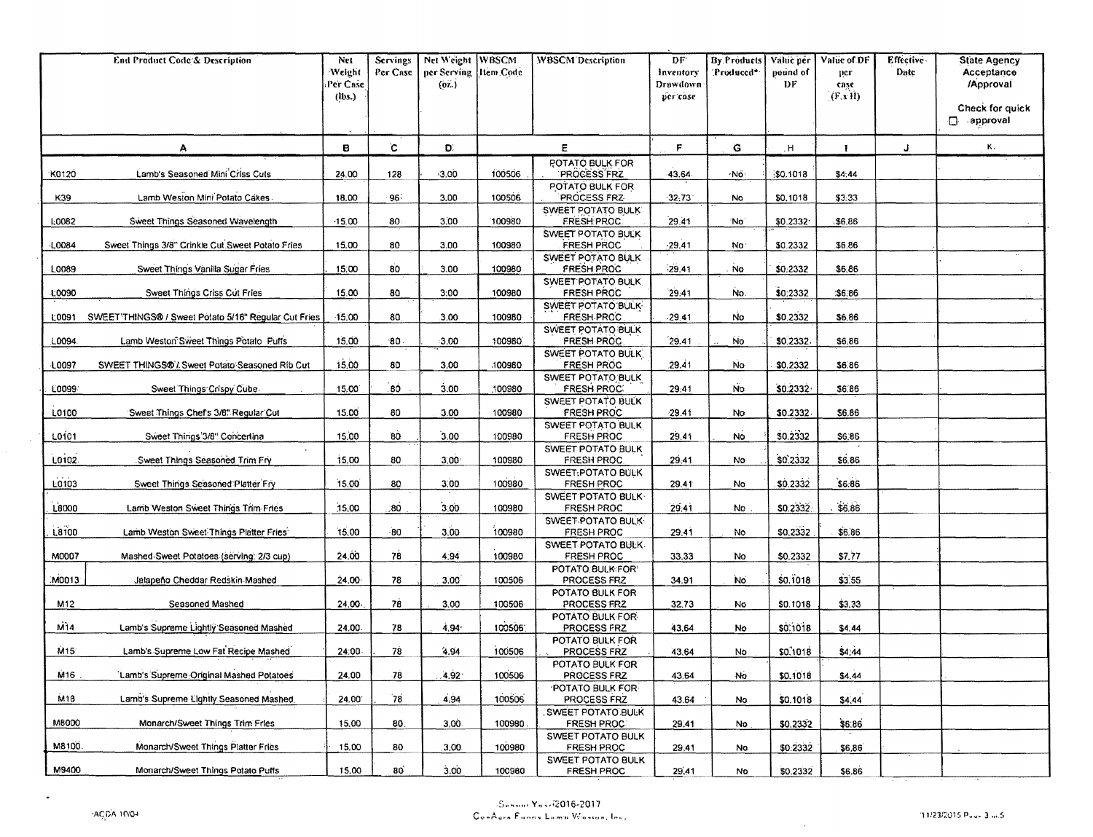|                 | End Product Code'& Description                       | Net<br>Weight<br>Per Case<br>$($ lbs. $)$ | Servings<br>Per Case | Net Weight WBSCM<br>per Serving   Item Code<br>(07.) |         | <b>WBSCM</b> Description                | DF.<br>Inventory<br>Drawdown<br>per case | By Products<br>'Produced* | Value per<br>pound of<br>DF | Value of DF<br>per<br>case<br>(F x H) | Effective<br>Date | <b>State Agency</b><br>Acceptance<br>/Approval<br>Check for quick |
|-----------------|------------------------------------------------------|-------------------------------------------|----------------------|------------------------------------------------------|---------|-----------------------------------------|------------------------------------------|---------------------------|-----------------------------|---------------------------------------|-------------------|-------------------------------------------------------------------|
|                 |                                                      |                                           |                      |                                                      |         |                                         |                                          |                           |                             |                                       |                   | $\Box$ approval                                                   |
|                 | A                                                    | в                                         | $\mathbf C$          | D.                                                   |         | E                                       | F                                        | G                         | H                           | Ŧ                                     | J                 | Κ,                                                                |
| K0120           | Lamb's Seasoned Mini Criss Cuts                      | 24.00                                     | 128                  | $-3.00$                                              | 100506  | <b>POTATO BULK FOR</b><br>PROCESS FRZ   | 43.64                                    | ۰Nő                       | \$0.1018                    | \$4.44                                |                   |                                                                   |
| K39             | Lamb Weston Mini Potato Cakes                        | 18.00                                     | 96                   | 3.00                                                 | 100506  | POTATO BULK FOR<br>PROCESS FRZ          | 32.73                                    | <b>No</b>                 | \$0,1018                    | \$3.33                                |                   |                                                                   |
| L0082           | Sweet Things Seasoned Wavelength                     | $-15.00$                                  | $80 -$               | 3,00                                                 | 100980  | SWEET POTATO BULK<br>FRESH PROC.        | 29.41                                    | 'No                       | \$0.2332                    | .\$6.86                               |                   |                                                                   |
| L0084           | Sweet Things 3/8" Crinkle Cut Sweet Potato Fries     | 15.00                                     | 80                   | 3.00                                                 | 100980  | SWEET POTATO BULK<br><b>FRESH PROC</b>  | $-29.41$                                 | No.                       | \$0.2332                    | \$6.86                                |                   |                                                                   |
| L0089           | Sweet Things Vanilla Sugar Fries                     | 15,00                                     | 80                   | 3.00                                                 | 100980  | SWEET POTATO BULK<br>FRESH PROC.        | 29.41                                    | No                        | \$0.2332                    | \$6,86                                |                   |                                                                   |
|                 |                                                      |                                           |                      |                                                      |         | SWEET POTATO BULK                       |                                          |                           |                             |                                       |                   |                                                                   |
| L0090           | Sweet Things Criss Cut Fries                         | 15.00                                     | 80                   | 3:00                                                 | 100980  | FRESH PROC<br>SWEET POTATO BULK         | 29.41                                    | No.                       | \$0:2332                    | \$6.86                                |                   |                                                                   |
| L0091           | SWEET'THINGS® / Sweet Potato 5/16" Regular Cut Fries | 15,00                                     | 80.                  | 3.00                                                 | 100980  | <b>FRESH PROC</b><br>SWEET POTATO BULK  | $-29.41$                                 | Ńo                        | \$0.2332                    | \$6,86                                |                   |                                                                   |
| L0094           | Lamb Weston Sweet Things Potato Puffs                | 15,00                                     | 180                  | 3.00                                                 | 100980  | FRESH PROC                              | 29.41                                    | No.                       | \$0.2332                    | \$6,86                                |                   |                                                                   |
| L0097           | SWEET THINGS®'. Sweet Potato Seasoned Rib Cut        | 15.00                                     | 80                   | 3.00                                                 | 100980  | SWEET POTATO BULK<br>FRESH PROC         | 29.41                                    | <b>No</b>                 | \$0.2332                    | \$6.86                                |                   |                                                                   |
| L0099           | Sweet Things Crispy Cube.                            | 15.00                                     | .80                  | 3.00                                                 | 100980  | SWEET POTATO BULK<br><b>FRESH PROC.</b> | 29:41                                    | <b>No</b>                 | \$0.2332                    | \$6.86                                |                   |                                                                   |
| L0100           | Sweet Things Chef's 3/8" Regular Cut                 | 15.00                                     | 80                   | 3.00                                                 | 100980  | SWEET POTATO BULK<br>FRESH PROC         | 29.41                                    | <b>No</b>                 | \$0.2332                    | \$6,86                                |                   |                                                                   |
| L0101           | Sweet Things 3/8" Concertina                         | 15.00                                     | 80                   | 3.00                                                 | 100980  | SWEET POTATO BULK<br>FRESH PROC         | 29.41                                    | <b>No</b>                 | \$0,2332                    | \$6,86                                |                   |                                                                   |
|                 |                                                      |                                           |                      |                                                      |         | SWEET POTATO BULK                       |                                          |                           |                             |                                       |                   |                                                                   |
| L0102           | Sweet Things Seasoned Trim Fry                       | 15.00                                     | 80                   | 3,00                                                 | 100980  | FRESH PROC.<br>SWEET: POTATO BULK       | 29,41                                    | No                        | \$0,2332                    | \$6.86                                |                   |                                                                   |
| L0103           | Sweet Things Seasoned Platter Fry                    | 15.00                                     | 80                   | 3.00                                                 | 100980  | FRESH PROC                              | 29.41                                    | No                        | \$0.2332                    | \$6.86                                |                   |                                                                   |
| L8000           | Lamb Weston Sweet Things Trim Fries                  | 15.00                                     | :80                  | 3,00                                                 | 100980  | SWEET POTATO BULK-<br>FRESH PROC        | 29.41                                    | No                        | \$0.2332.                   | \$6.86                                |                   |                                                                   |
| L8100           | Lamb Weston Sweet Things Platter Fries               | 15.00                                     | 80                   | 3.00                                                 | 100980  | SWEET POTATO BULK<br><b>FRESH PROC</b>  | 29,41                                    | No                        | \$0,2332                    | \$6.86                                |                   |                                                                   |
| M0007           | Mashed Sweet Potatoes (serving: 2/3 cup)             | 24.00                                     | 78                   | 4.94                                                 | 100980  | SWEET POTATO BULK-<br>FRESH PROC        | 33,33                                    | No                        | \$0,2332                    | \$7.77                                |                   |                                                                   |
|                 |                                                      |                                           |                      |                                                      |         | POTATO.BULK:FOR'                        |                                          |                           |                             |                                       |                   |                                                                   |
| M0013           | Jalapeño Cheddar Redskin Mashed                      | $24.00 -$                                 | 78                   | 3.00                                                 | 100506  | PROCESS FRZ<br>POTATO BULK FOR          | 34.91                                    | No.                       | \$0,1018                    | \$3.55                                |                   |                                                                   |
| M12             | Seasoned Mashed                                      | 24.00.                                    | 78                   | 3.00                                                 | 100506  | PROCESS FRZ<br>POTATO BULK FOR          | 32.73                                    | No                        | \$0.1018                    | \$3.33                                |                   |                                                                   |
| M14             | Lamb's Supreme Lightly Seasoned Mashed               | 24.00                                     | 78                   | 4.94'                                                | 1005061 | PROCESS FRZ                             | 43.64                                    | No                        | \$0.1018                    | \$4.44                                |                   |                                                                   |
| M15             | Lamb's Supreme Low Fat Recipe Mashed                 | 24:00                                     | 78                   | 4.94                                                 | 100506  | POTATO BULK FOR<br><b>PROCESS FRZ</b>   | 43,64                                    | No                        | \$0,1018                    | \$4,44                                |                   |                                                                   |
| M <sub>16</sub> | Lamb's Supreme Original Mashed Potatoes              | 24.00                                     | -78                  | $4.92^{\circ}$                                       | 100506  | POTATO BULK FOR:<br>PROCESS FRZ         | 43.64                                    | No                        | \$0,1018                    | \$4.44                                |                   |                                                                   |
| M18             | Lamb's Supreme Lightly Seasoned Mashed,              | 24.00                                     | 78                   | 4.94                                                 | 100506  | <b>POTATO BULK FOR</b><br>PROCESS FRZ   | 43.64                                    | No                        | \$0.1018                    | \$4.44                                |                   |                                                                   |
| M8000           | Monarch/Sweet Things Trim Fries                      | 15.00                                     | 80                   | 3,00.                                                | 100980  | SWEET POTATO BULK<br><b>FRESH PROC:</b> | 29.41                                    | No.                       | \$0.2332.                   | \$6.86                                |                   |                                                                   |
| M8100.          | Monarch/Sweet Things Platter Fries                   | 15.00                                     | 80                   | 3.00                                                 | 100980  | SWEET POTATO BULK<br>FRESH PROC         | 29.41                                    | No                        | \$0.2332                    | \$6,86                                |                   |                                                                   |
| M9400           | Monarch/Sweet Things Potato Puffs                    | 15.00                                     | 80                   | 3.00                                                 | 100980  | SWEET POTATO BULK<br>FRESH PROC         | 29,41                                    | No                        | \$0.2332                    | \$6.86                                |                   |                                                                   |

 $\sim 10$ 

 $\sim$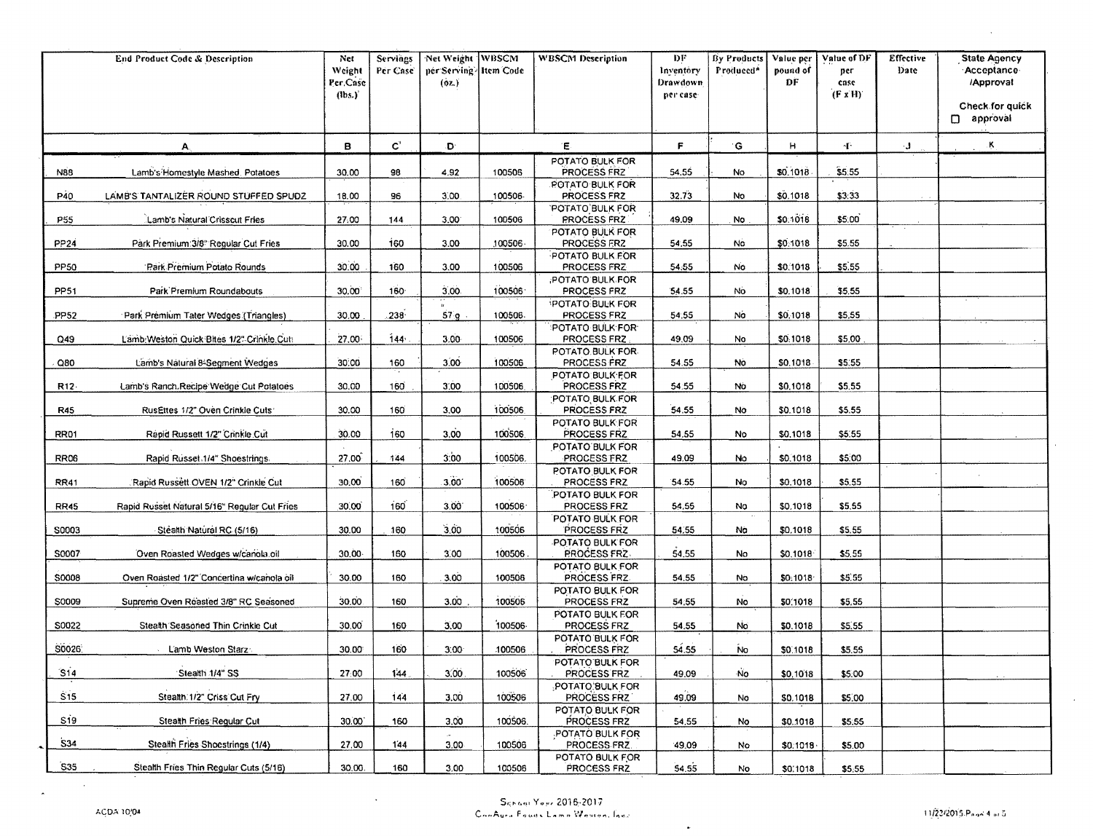| $\mathbf{C}^*$<br>E.<br>F<br>Ķ<br>B<br>G<br>H.<br>Đ.<br>Æ.<br>۰J.<br>Α.<br>POTATO BULK FOR<br>\$0.1018<br>100506<br>PROCESS FRZ<br>54.55<br>\$5.55<br>30.00<br>98<br>4.92<br>N88<br>Lamb's Homestyle Mashed, Potatoes<br>No<br><b>POTATO BULK FOR</b><br>P40<br>LAMB'S TANTALIZER ROUND STUFFED SPUDZ<br>32.73<br>\$0.1018<br>\$3:33<br>18.00<br>96<br>3.00<br>100506<br>PROCESS FRZ<br>No<br><b>POTATO BULK FOR</b><br>\$0,1018<br>\$5:00<br>P55<br>Lamb's Natural Crisscut Fries<br>27.00<br>3,00<br><b>PROCESS FRZ</b><br>49.09<br>144<br>100506<br>No<br>POTATO BULK FOR<br>Park Premium: 3/8" Regular Cut Fries<br>30.00<br>160<br><b>PROCESS FRZ</b><br>54.55<br>\$0,1018<br>\$5.55<br>PP24<br>3.00<br>100506<br>No<br>POTATO BULK FOR<br>30.00<br>160<br>\$5.55<br>PP50<br>Park Premium Potato Rounds<br>3.00<br>100506<br>PROCESS FRZ<br>54.55<br>No.<br>\$0,1018<br>(POTATO BULK FOR<br>160<br>30.00<br>3.00<br>100506<br>\$5.55<br>PP51<br>Park Premium Roundabouts<br>PROCESS FRZ<br>54.55<br>No<br>\$0.1018<br>POTATO BULK FOR<br>$238 -$<br>\$5.55<br>PP <sub>52</sub><br>57 <sub>g</sub><br>54,55<br>No<br>\$0,1018<br>Park Premium Tater Wedges (Triangles)<br>30.00<br>100506<br>PROCESS FRZ<br>POTATO BULK FOR<br>Lamb Weston Quick Bites 1/2" Crinkle Cut<br>27.00<br>144<br>3.00<br>PROCESS FRZ<br>49.09<br>\$0.1018<br>\$5,00<br>Q49<br>100506<br>No<br>POTATO BULK FOR<br>3.00 <sub>1</sub><br>54.55<br>\$5.55<br>Lamb's Natural 8-Segment Wedges<br>30.00<br>160<br>100506<br>PROCESS FRZ<br>No<br>\$0,1018<br>Q80<br>POTATO BULK FOR<br>3,00<br>PROCESS FRZ<br>\$5.55<br>R12-<br>Lamb's Ranch Recipe Wedge Cut Polatoes<br>30.00<br>160<br>100506<br>54.55<br>No<br>\$0,1018<br>POTATO BULK FOR<br>3.00<br>100506<br>PROCESS FRZ<br>54.55<br>\$5.55<br><b>R45</b><br>RusEttes 1/2" Oven Crinkle Cuts:<br>30.00<br>160<br>\$0,1018<br>No<br>POTATO BULK FOR<br>Rapid Russett 1/2" Crinkle Cut<br>30.00<br>160<br>3.00<br>100506<br>PROCESS FRZ<br>54.55<br>No<br>\$0,1018<br>\$5.55<br>RR01<br>POTATO BULK FOR<br>3:00<br>27.00<br><b>RR06</b><br>Rapid Russet 1/4" Shoestrings.<br>144<br>100506<br>PROCESS FRZ<br>49.09<br>No<br>\$0,1018<br>\$5.00<br>POTATO BULK FOR<br>3.00<br><b>RR41</b><br>Rapid Russett OVEN 1/2" Crinkle Cut<br>30,00<br>160<br>100506<br>PROCESS FRZ<br>54.55<br>No<br>\$0,1018<br>\$5.55<br>POTATO BULK FOR<br>160<br>3.00<br>100506<br>\$5,55<br><b>RR45</b><br>Rapid Russet Natural 5/16" Regular Cut Fries<br>30.00<br>PROCESS FRZ<br>54.55<br>No<br>\$0,1018<br>POTATO BULK FOR<br>3,00<br>30.00<br>160<br>100506<br>PROCESS FRZ<br>54.55<br>\$5.55<br>S0003<br>Stéalth Natural RC (5/16)<br>No<br>\$0,1018<br>POTATO BULK FOR<br>PROCESS FRZ<br>30,00<br>3,00<br>54.55<br>\$5,55<br>S0007<br>Oven Roasted Wedges w/canola.oil<br>160<br>100506<br>No<br>\$0,1018<br>POTATO BULK FOR<br>3.00<br>100506<br>\$5.55<br>\$0008<br>30.00<br>160<br>PROCESS FRZ.<br>54.55<br>Oven Roasted 1/2" Concertina w/canola oil<br>No<br>\$0.1018<br>POTATO BULK FOR<br>3.00<br><b>S0009</b><br>Supreme Oven Roasted 3/8" RC Seasoned<br>30.00<br>160<br>100506<br>PROCESS FRZ<br>54,55<br>\$0,1018<br>\$5.55<br>No<br>POTATO BULK FOR<br>S0022<br>Stealth Seasoned Thin Crinkle Cut<br>30,00<br>3.00<br>100506<br>160<br>PROCESS FRZ<br>54.55<br>No<br>\$0,1018<br>\$5.55<br>POTATO BULK FOR<br>S0026<br>30.00<br>160<br>3.00 <sub>1</sub><br>PROCESS FRZ<br>54.55<br>No.<br>L'amb Weston Starz:<br>100506<br>\$5.55<br>\$0,1018<br>POTATO BULK FOR<br>S14<br>27:00<br>Stealth 1/4" SS<br>144.<br>3.00<br>100506<br>PROCESS FRZ<br>49.09<br>No.<br>\$0,1018<br>\$5.00<br>POTATO BULK FOR<br>S <sub>15</sub><br>Stealth.1/2" Criss Cut Fry<br>3.00<br>100506<br>49.09<br>27.00<br>144<br>PROCESS FRZ<br>\$0,1018<br>\$5.00<br>No<br>POTATO BULK FOR<br>Si9<br>Stealth Fries Regular Cut<br>3.00<br>100506.<br>PROCESS FRZ<br>30.00<br>160<br>54.55<br>\$0.1018<br>\$5.55<br>No<br>POTATO BULK FOR<br>534<br>Stealth Fries Shoestrings (1/4)<br>27,00<br>144<br>3.00<br>100506<br>PROCESS FRZ.<br>49,09<br>No<br>\$0.1018<br>\$5.00<br>POTATO BULK FOR<br>S35<br>Stealth Fries Thin Requiar Cuts (5/16)<br>30.00.<br>160<br>3,00 | End Product Code & Description | Net<br>Weight<br>Per Case<br>$\left(\text{lbs.}\right)^{3}$ | Servings<br>Per Case | Net Weight WBSCM<br>per Serving-Htem Code<br>(02.) |        | <b>WBSCM</b> Description | DF<br>Inventory<br>Drawdown<br>per case | By Products<br>Produced <sup>*</sup> | Value per<br>pound of<br>DF | Value of DF<br>ner<br>case<br>$(F \times H)$ | <b>Effective</b><br>Date | <b>State Agency</b><br>-Acceptance-<br>/Approval<br>Check for quick<br>$\Box$ approval |
|------------------------------------------------------------------------------------------------------------------------------------------------------------------------------------------------------------------------------------------------------------------------------------------------------------------------------------------------------------------------------------------------------------------------------------------------------------------------------------------------------------------------------------------------------------------------------------------------------------------------------------------------------------------------------------------------------------------------------------------------------------------------------------------------------------------------------------------------------------------------------------------------------------------------------------------------------------------------------------------------------------------------------------------------------------------------------------------------------------------------------------------------------------------------------------------------------------------------------------------------------------------------------------------------------------------------------------------------------------------------------------------------------------------------------------------------------------------------------------------------------------------------------------------------------------------------------------------------------------------------------------------------------------------------------------------------------------------------------------------------------------------------------------------------------------------------------------------------------------------------------------------------------------------------------------------------------------------------------------------------------------------------------------------------------------------------------------------------------------------------------------------------------------------------------------------------------------------------------------------------------------------------------------------------------------------------------------------------------------------------------------------------------------------------------------------------------------------------------------------------------------------------------------------------------------------------------------------------------------------------------------------------------------------------------------------------------------------------------------------------------------------------------------------------------------------------------------------------------------------------------------------------------------------------------------------------------------------------------------------------------------------------------------------------------------------------------------------------------------------------------------------------------------------------------------------------------------------------------------------------------------------------------------------------------------------------------------------------------------------------------------------------------------------------------------------------------------------------------------------------------------------------------------------------------------------------------------------------------------------------------------------------------------------------------------------------------------------------------------------------------------------------------------------------------------------------------------------------------------------------------------------------------------------------------------------------------------------------------------------------------------------------------------------------------------------------------------------------------------------------------------------------------------------------|--------------------------------|-------------------------------------------------------------|----------------------|----------------------------------------------------|--------|--------------------------|-----------------------------------------|--------------------------------------|-----------------------------|----------------------------------------------|--------------------------|----------------------------------------------------------------------------------------|
|                                                                                                                                                                                                                                                                                                                                                                                                                                                                                                                                                                                                                                                                                                                                                                                                                                                                                                                                                                                                                                                                                                                                                                                                                                                                                                                                                                                                                                                                                                                                                                                                                                                                                                                                                                                                                                                                                                                                                                                                                                                                                                                                                                                                                                                                                                                                                                                                                                                                                                                                                                                                                                                                                                                                                                                                                                                                                                                                                                                                                                                                                                                                                                                                                                                                                                                                                                                                                                                                                                                                                                                                                                                                                                                                                                                                                                                                                                                                                                                                                                                                                                                                                                        |                                |                                                             |                      |                                                    |        |                          |                                         |                                      |                             |                                              |                          |                                                                                        |
|                                                                                                                                                                                                                                                                                                                                                                                                                                                                                                                                                                                                                                                                                                                                                                                                                                                                                                                                                                                                                                                                                                                                                                                                                                                                                                                                                                                                                                                                                                                                                                                                                                                                                                                                                                                                                                                                                                                                                                                                                                                                                                                                                                                                                                                                                                                                                                                                                                                                                                                                                                                                                                                                                                                                                                                                                                                                                                                                                                                                                                                                                                                                                                                                                                                                                                                                                                                                                                                                                                                                                                                                                                                                                                                                                                                                                                                                                                                                                                                                                                                                                                                                                                        |                                |                                                             |                      |                                                    |        |                          |                                         |                                      |                             |                                              |                          |                                                                                        |
|                                                                                                                                                                                                                                                                                                                                                                                                                                                                                                                                                                                                                                                                                                                                                                                                                                                                                                                                                                                                                                                                                                                                                                                                                                                                                                                                                                                                                                                                                                                                                                                                                                                                                                                                                                                                                                                                                                                                                                                                                                                                                                                                                                                                                                                                                                                                                                                                                                                                                                                                                                                                                                                                                                                                                                                                                                                                                                                                                                                                                                                                                                                                                                                                                                                                                                                                                                                                                                                                                                                                                                                                                                                                                                                                                                                                                                                                                                                                                                                                                                                                                                                                                                        |                                |                                                             |                      |                                                    |        |                          |                                         |                                      |                             |                                              |                          |                                                                                        |
|                                                                                                                                                                                                                                                                                                                                                                                                                                                                                                                                                                                                                                                                                                                                                                                                                                                                                                                                                                                                                                                                                                                                                                                                                                                                                                                                                                                                                                                                                                                                                                                                                                                                                                                                                                                                                                                                                                                                                                                                                                                                                                                                                                                                                                                                                                                                                                                                                                                                                                                                                                                                                                                                                                                                                                                                                                                                                                                                                                                                                                                                                                                                                                                                                                                                                                                                                                                                                                                                                                                                                                                                                                                                                                                                                                                                                                                                                                                                                                                                                                                                                                                                                                        |                                |                                                             |                      |                                                    |        |                          |                                         |                                      |                             |                                              |                          |                                                                                        |
|                                                                                                                                                                                                                                                                                                                                                                                                                                                                                                                                                                                                                                                                                                                                                                                                                                                                                                                                                                                                                                                                                                                                                                                                                                                                                                                                                                                                                                                                                                                                                                                                                                                                                                                                                                                                                                                                                                                                                                                                                                                                                                                                                                                                                                                                                                                                                                                                                                                                                                                                                                                                                                                                                                                                                                                                                                                                                                                                                                                                                                                                                                                                                                                                                                                                                                                                                                                                                                                                                                                                                                                                                                                                                                                                                                                                                                                                                                                                                                                                                                                                                                                                                                        |                                |                                                             |                      |                                                    |        |                          |                                         |                                      |                             |                                              |                          |                                                                                        |
|                                                                                                                                                                                                                                                                                                                                                                                                                                                                                                                                                                                                                                                                                                                                                                                                                                                                                                                                                                                                                                                                                                                                                                                                                                                                                                                                                                                                                                                                                                                                                                                                                                                                                                                                                                                                                                                                                                                                                                                                                                                                                                                                                                                                                                                                                                                                                                                                                                                                                                                                                                                                                                                                                                                                                                                                                                                                                                                                                                                                                                                                                                                                                                                                                                                                                                                                                                                                                                                                                                                                                                                                                                                                                                                                                                                                                                                                                                                                                                                                                                                                                                                                                                        |                                |                                                             |                      |                                                    |        |                          |                                         |                                      |                             |                                              |                          |                                                                                        |
|                                                                                                                                                                                                                                                                                                                                                                                                                                                                                                                                                                                                                                                                                                                                                                                                                                                                                                                                                                                                                                                                                                                                                                                                                                                                                                                                                                                                                                                                                                                                                                                                                                                                                                                                                                                                                                                                                                                                                                                                                                                                                                                                                                                                                                                                                                                                                                                                                                                                                                                                                                                                                                                                                                                                                                                                                                                                                                                                                                                                                                                                                                                                                                                                                                                                                                                                                                                                                                                                                                                                                                                                                                                                                                                                                                                                                                                                                                                                                                                                                                                                                                                                                                        |                                |                                                             |                      |                                                    |        |                          |                                         |                                      |                             |                                              |                          |                                                                                        |
|                                                                                                                                                                                                                                                                                                                                                                                                                                                                                                                                                                                                                                                                                                                                                                                                                                                                                                                                                                                                                                                                                                                                                                                                                                                                                                                                                                                                                                                                                                                                                                                                                                                                                                                                                                                                                                                                                                                                                                                                                                                                                                                                                                                                                                                                                                                                                                                                                                                                                                                                                                                                                                                                                                                                                                                                                                                                                                                                                                                                                                                                                                                                                                                                                                                                                                                                                                                                                                                                                                                                                                                                                                                                                                                                                                                                                                                                                                                                                                                                                                                                                                                                                                        |                                |                                                             |                      |                                                    |        |                          |                                         |                                      |                             |                                              |                          |                                                                                        |
|                                                                                                                                                                                                                                                                                                                                                                                                                                                                                                                                                                                                                                                                                                                                                                                                                                                                                                                                                                                                                                                                                                                                                                                                                                                                                                                                                                                                                                                                                                                                                                                                                                                                                                                                                                                                                                                                                                                                                                                                                                                                                                                                                                                                                                                                                                                                                                                                                                                                                                                                                                                                                                                                                                                                                                                                                                                                                                                                                                                                                                                                                                                                                                                                                                                                                                                                                                                                                                                                                                                                                                                                                                                                                                                                                                                                                                                                                                                                                                                                                                                                                                                                                                        |                                |                                                             |                      |                                                    |        |                          |                                         |                                      |                             |                                              |                          |                                                                                        |
|                                                                                                                                                                                                                                                                                                                                                                                                                                                                                                                                                                                                                                                                                                                                                                                                                                                                                                                                                                                                                                                                                                                                                                                                                                                                                                                                                                                                                                                                                                                                                                                                                                                                                                                                                                                                                                                                                                                                                                                                                                                                                                                                                                                                                                                                                                                                                                                                                                                                                                                                                                                                                                                                                                                                                                                                                                                                                                                                                                                                                                                                                                                                                                                                                                                                                                                                                                                                                                                                                                                                                                                                                                                                                                                                                                                                                                                                                                                                                                                                                                                                                                                                                                        |                                |                                                             |                      |                                                    |        |                          |                                         |                                      |                             |                                              |                          |                                                                                        |
|                                                                                                                                                                                                                                                                                                                                                                                                                                                                                                                                                                                                                                                                                                                                                                                                                                                                                                                                                                                                                                                                                                                                                                                                                                                                                                                                                                                                                                                                                                                                                                                                                                                                                                                                                                                                                                                                                                                                                                                                                                                                                                                                                                                                                                                                                                                                                                                                                                                                                                                                                                                                                                                                                                                                                                                                                                                                                                                                                                                                                                                                                                                                                                                                                                                                                                                                                                                                                                                                                                                                                                                                                                                                                                                                                                                                                                                                                                                                                                                                                                                                                                                                                                        |                                |                                                             |                      |                                                    |        |                          |                                         |                                      |                             |                                              |                          |                                                                                        |
|                                                                                                                                                                                                                                                                                                                                                                                                                                                                                                                                                                                                                                                                                                                                                                                                                                                                                                                                                                                                                                                                                                                                                                                                                                                                                                                                                                                                                                                                                                                                                                                                                                                                                                                                                                                                                                                                                                                                                                                                                                                                                                                                                                                                                                                                                                                                                                                                                                                                                                                                                                                                                                                                                                                                                                                                                                                                                                                                                                                                                                                                                                                                                                                                                                                                                                                                                                                                                                                                                                                                                                                                                                                                                                                                                                                                                                                                                                                                                                                                                                                                                                                                                                        |                                |                                                             |                      |                                                    |        |                          |                                         |                                      |                             |                                              |                          |                                                                                        |
|                                                                                                                                                                                                                                                                                                                                                                                                                                                                                                                                                                                                                                                                                                                                                                                                                                                                                                                                                                                                                                                                                                                                                                                                                                                                                                                                                                                                                                                                                                                                                                                                                                                                                                                                                                                                                                                                                                                                                                                                                                                                                                                                                                                                                                                                                                                                                                                                                                                                                                                                                                                                                                                                                                                                                                                                                                                                                                                                                                                                                                                                                                                                                                                                                                                                                                                                                                                                                                                                                                                                                                                                                                                                                                                                                                                                                                                                                                                                                                                                                                                                                                                                                                        |                                |                                                             |                      |                                                    |        |                          |                                         |                                      |                             |                                              |                          |                                                                                        |
|                                                                                                                                                                                                                                                                                                                                                                                                                                                                                                                                                                                                                                                                                                                                                                                                                                                                                                                                                                                                                                                                                                                                                                                                                                                                                                                                                                                                                                                                                                                                                                                                                                                                                                                                                                                                                                                                                                                                                                                                                                                                                                                                                                                                                                                                                                                                                                                                                                                                                                                                                                                                                                                                                                                                                                                                                                                                                                                                                                                                                                                                                                                                                                                                                                                                                                                                                                                                                                                                                                                                                                                                                                                                                                                                                                                                                                                                                                                                                                                                                                                                                                                                                                        |                                |                                                             |                      |                                                    |        |                          |                                         |                                      |                             |                                              |                          |                                                                                        |
|                                                                                                                                                                                                                                                                                                                                                                                                                                                                                                                                                                                                                                                                                                                                                                                                                                                                                                                                                                                                                                                                                                                                                                                                                                                                                                                                                                                                                                                                                                                                                                                                                                                                                                                                                                                                                                                                                                                                                                                                                                                                                                                                                                                                                                                                                                                                                                                                                                                                                                                                                                                                                                                                                                                                                                                                                                                                                                                                                                                                                                                                                                                                                                                                                                                                                                                                                                                                                                                                                                                                                                                                                                                                                                                                                                                                                                                                                                                                                                                                                                                                                                                                                                        |                                |                                                             |                      |                                                    |        |                          |                                         |                                      |                             |                                              |                          |                                                                                        |
|                                                                                                                                                                                                                                                                                                                                                                                                                                                                                                                                                                                                                                                                                                                                                                                                                                                                                                                                                                                                                                                                                                                                                                                                                                                                                                                                                                                                                                                                                                                                                                                                                                                                                                                                                                                                                                                                                                                                                                                                                                                                                                                                                                                                                                                                                                                                                                                                                                                                                                                                                                                                                                                                                                                                                                                                                                                                                                                                                                                                                                                                                                                                                                                                                                                                                                                                                                                                                                                                                                                                                                                                                                                                                                                                                                                                                                                                                                                                                                                                                                                                                                                                                                        |                                |                                                             |                      |                                                    |        |                          |                                         |                                      |                             |                                              |                          |                                                                                        |
|                                                                                                                                                                                                                                                                                                                                                                                                                                                                                                                                                                                                                                                                                                                                                                                                                                                                                                                                                                                                                                                                                                                                                                                                                                                                                                                                                                                                                                                                                                                                                                                                                                                                                                                                                                                                                                                                                                                                                                                                                                                                                                                                                                                                                                                                                                                                                                                                                                                                                                                                                                                                                                                                                                                                                                                                                                                                                                                                                                                                                                                                                                                                                                                                                                                                                                                                                                                                                                                                                                                                                                                                                                                                                                                                                                                                                                                                                                                                                                                                                                                                                                                                                                        |                                |                                                             |                      |                                                    |        |                          |                                         |                                      |                             |                                              |                          |                                                                                        |
|                                                                                                                                                                                                                                                                                                                                                                                                                                                                                                                                                                                                                                                                                                                                                                                                                                                                                                                                                                                                                                                                                                                                                                                                                                                                                                                                                                                                                                                                                                                                                                                                                                                                                                                                                                                                                                                                                                                                                                                                                                                                                                                                                                                                                                                                                                                                                                                                                                                                                                                                                                                                                                                                                                                                                                                                                                                                                                                                                                                                                                                                                                                                                                                                                                                                                                                                                                                                                                                                                                                                                                                                                                                                                                                                                                                                                                                                                                                                                                                                                                                                                                                                                                        |                                |                                                             |                      |                                                    |        |                          |                                         |                                      |                             |                                              |                          |                                                                                        |
|                                                                                                                                                                                                                                                                                                                                                                                                                                                                                                                                                                                                                                                                                                                                                                                                                                                                                                                                                                                                                                                                                                                                                                                                                                                                                                                                                                                                                                                                                                                                                                                                                                                                                                                                                                                                                                                                                                                                                                                                                                                                                                                                                                                                                                                                                                                                                                                                                                                                                                                                                                                                                                                                                                                                                                                                                                                                                                                                                                                                                                                                                                                                                                                                                                                                                                                                                                                                                                                                                                                                                                                                                                                                                                                                                                                                                                                                                                                                                                                                                                                                                                                                                                        |                                |                                                             |                      |                                                    |        |                          |                                         |                                      |                             |                                              |                          |                                                                                        |
|                                                                                                                                                                                                                                                                                                                                                                                                                                                                                                                                                                                                                                                                                                                                                                                                                                                                                                                                                                                                                                                                                                                                                                                                                                                                                                                                                                                                                                                                                                                                                                                                                                                                                                                                                                                                                                                                                                                                                                                                                                                                                                                                                                                                                                                                                                                                                                                                                                                                                                                                                                                                                                                                                                                                                                                                                                                                                                                                                                                                                                                                                                                                                                                                                                                                                                                                                                                                                                                                                                                                                                                                                                                                                                                                                                                                                                                                                                                                                                                                                                                                                                                                                                        |                                |                                                             |                      |                                                    |        |                          |                                         |                                      |                             |                                              |                          |                                                                                        |
|                                                                                                                                                                                                                                                                                                                                                                                                                                                                                                                                                                                                                                                                                                                                                                                                                                                                                                                                                                                                                                                                                                                                                                                                                                                                                                                                                                                                                                                                                                                                                                                                                                                                                                                                                                                                                                                                                                                                                                                                                                                                                                                                                                                                                                                                                                                                                                                                                                                                                                                                                                                                                                                                                                                                                                                                                                                                                                                                                                                                                                                                                                                                                                                                                                                                                                                                                                                                                                                                                                                                                                                                                                                                                                                                                                                                                                                                                                                                                                                                                                                                                                                                                                        |                                |                                                             |                      |                                                    |        |                          |                                         |                                      |                             |                                              |                          |                                                                                        |
|                                                                                                                                                                                                                                                                                                                                                                                                                                                                                                                                                                                                                                                                                                                                                                                                                                                                                                                                                                                                                                                                                                                                                                                                                                                                                                                                                                                                                                                                                                                                                                                                                                                                                                                                                                                                                                                                                                                                                                                                                                                                                                                                                                                                                                                                                                                                                                                                                                                                                                                                                                                                                                                                                                                                                                                                                                                                                                                                                                                                                                                                                                                                                                                                                                                                                                                                                                                                                                                                                                                                                                                                                                                                                                                                                                                                                                                                                                                                                                                                                                                                                                                                                                        |                                |                                                             |                      |                                                    |        |                          |                                         |                                      |                             |                                              |                          |                                                                                        |
|                                                                                                                                                                                                                                                                                                                                                                                                                                                                                                                                                                                                                                                                                                                                                                                                                                                                                                                                                                                                                                                                                                                                                                                                                                                                                                                                                                                                                                                                                                                                                                                                                                                                                                                                                                                                                                                                                                                                                                                                                                                                                                                                                                                                                                                                                                                                                                                                                                                                                                                                                                                                                                                                                                                                                                                                                                                                                                                                                                                                                                                                                                                                                                                                                                                                                                                                                                                                                                                                                                                                                                                                                                                                                                                                                                                                                                                                                                                                                                                                                                                                                                                                                                        |                                |                                                             |                      |                                                    |        |                          |                                         |                                      |                             |                                              |                          |                                                                                        |
|                                                                                                                                                                                                                                                                                                                                                                                                                                                                                                                                                                                                                                                                                                                                                                                                                                                                                                                                                                                                                                                                                                                                                                                                                                                                                                                                                                                                                                                                                                                                                                                                                                                                                                                                                                                                                                                                                                                                                                                                                                                                                                                                                                                                                                                                                                                                                                                                                                                                                                                                                                                                                                                                                                                                                                                                                                                                                                                                                                                                                                                                                                                                                                                                                                                                                                                                                                                                                                                                                                                                                                                                                                                                                                                                                                                                                                                                                                                                                                                                                                                                                                                                                                        |                                |                                                             |                      |                                                    |        |                          |                                         |                                      |                             |                                              |                          |                                                                                        |
|                                                                                                                                                                                                                                                                                                                                                                                                                                                                                                                                                                                                                                                                                                                                                                                                                                                                                                                                                                                                                                                                                                                                                                                                                                                                                                                                                                                                                                                                                                                                                                                                                                                                                                                                                                                                                                                                                                                                                                                                                                                                                                                                                                                                                                                                                                                                                                                                                                                                                                                                                                                                                                                                                                                                                                                                                                                                                                                                                                                                                                                                                                                                                                                                                                                                                                                                                                                                                                                                                                                                                                                                                                                                                                                                                                                                                                                                                                                                                                                                                                                                                                                                                                        |                                |                                                             |                      |                                                    |        |                          |                                         |                                      |                             |                                              |                          |                                                                                        |
|                                                                                                                                                                                                                                                                                                                                                                                                                                                                                                                                                                                                                                                                                                                                                                                                                                                                                                                                                                                                                                                                                                                                                                                                                                                                                                                                                                                                                                                                                                                                                                                                                                                                                                                                                                                                                                                                                                                                                                                                                                                                                                                                                                                                                                                                                                                                                                                                                                                                                                                                                                                                                                                                                                                                                                                                                                                                                                                                                                                                                                                                                                                                                                                                                                                                                                                                                                                                                                                                                                                                                                                                                                                                                                                                                                                                                                                                                                                                                                                                                                                                                                                                                                        |                                |                                                             |                      |                                                    |        |                          |                                         |                                      |                             |                                              |                          |                                                                                        |
|                                                                                                                                                                                                                                                                                                                                                                                                                                                                                                                                                                                                                                                                                                                                                                                                                                                                                                                                                                                                                                                                                                                                                                                                                                                                                                                                                                                                                                                                                                                                                                                                                                                                                                                                                                                                                                                                                                                                                                                                                                                                                                                                                                                                                                                                                                                                                                                                                                                                                                                                                                                                                                                                                                                                                                                                                                                                                                                                                                                                                                                                                                                                                                                                                                                                                                                                                                                                                                                                                                                                                                                                                                                                                                                                                                                                                                                                                                                                                                                                                                                                                                                                                                        |                                |                                                             |                      |                                                    |        |                          |                                         |                                      |                             |                                              |                          |                                                                                        |
|                                                                                                                                                                                                                                                                                                                                                                                                                                                                                                                                                                                                                                                                                                                                                                                                                                                                                                                                                                                                                                                                                                                                                                                                                                                                                                                                                                                                                                                                                                                                                                                                                                                                                                                                                                                                                                                                                                                                                                                                                                                                                                                                                                                                                                                                                                                                                                                                                                                                                                                                                                                                                                                                                                                                                                                                                                                                                                                                                                                                                                                                                                                                                                                                                                                                                                                                                                                                                                                                                                                                                                                                                                                                                                                                                                                                                                                                                                                                                                                                                                                                                                                                                                        |                                |                                                             |                      |                                                    |        |                          |                                         |                                      |                             |                                              |                          |                                                                                        |
|                                                                                                                                                                                                                                                                                                                                                                                                                                                                                                                                                                                                                                                                                                                                                                                                                                                                                                                                                                                                                                                                                                                                                                                                                                                                                                                                                                                                                                                                                                                                                                                                                                                                                                                                                                                                                                                                                                                                                                                                                                                                                                                                                                                                                                                                                                                                                                                                                                                                                                                                                                                                                                                                                                                                                                                                                                                                                                                                                                                                                                                                                                                                                                                                                                                                                                                                                                                                                                                                                                                                                                                                                                                                                                                                                                                                                                                                                                                                                                                                                                                                                                                                                                        |                                |                                                             |                      |                                                    |        |                          |                                         |                                      |                             |                                              |                          |                                                                                        |
|                                                                                                                                                                                                                                                                                                                                                                                                                                                                                                                                                                                                                                                                                                                                                                                                                                                                                                                                                                                                                                                                                                                                                                                                                                                                                                                                                                                                                                                                                                                                                                                                                                                                                                                                                                                                                                                                                                                                                                                                                                                                                                                                                                                                                                                                                                                                                                                                                                                                                                                                                                                                                                                                                                                                                                                                                                                                                                                                                                                                                                                                                                                                                                                                                                                                                                                                                                                                                                                                                                                                                                                                                                                                                                                                                                                                                                                                                                                                                                                                                                                                                                                                                                        |                                |                                                             |                      |                                                    |        |                          |                                         |                                      |                             |                                              |                          |                                                                                        |
|                                                                                                                                                                                                                                                                                                                                                                                                                                                                                                                                                                                                                                                                                                                                                                                                                                                                                                                                                                                                                                                                                                                                                                                                                                                                                                                                                                                                                                                                                                                                                                                                                                                                                                                                                                                                                                                                                                                                                                                                                                                                                                                                                                                                                                                                                                                                                                                                                                                                                                                                                                                                                                                                                                                                                                                                                                                                                                                                                                                                                                                                                                                                                                                                                                                                                                                                                                                                                                                                                                                                                                                                                                                                                                                                                                                                                                                                                                                                                                                                                                                                                                                                                                        |                                |                                                             |                      |                                                    |        |                          |                                         |                                      |                             |                                              |                          |                                                                                        |
|                                                                                                                                                                                                                                                                                                                                                                                                                                                                                                                                                                                                                                                                                                                                                                                                                                                                                                                                                                                                                                                                                                                                                                                                                                                                                                                                                                                                                                                                                                                                                                                                                                                                                                                                                                                                                                                                                                                                                                                                                                                                                                                                                                                                                                                                                                                                                                                                                                                                                                                                                                                                                                                                                                                                                                                                                                                                                                                                                                                                                                                                                                                                                                                                                                                                                                                                                                                                                                                                                                                                                                                                                                                                                                                                                                                                                                                                                                                                                                                                                                                                                                                                                                        |                                |                                                             |                      |                                                    |        |                          |                                         |                                      |                             |                                              |                          |                                                                                        |
|                                                                                                                                                                                                                                                                                                                                                                                                                                                                                                                                                                                                                                                                                                                                                                                                                                                                                                                                                                                                                                                                                                                                                                                                                                                                                                                                                                                                                                                                                                                                                                                                                                                                                                                                                                                                                                                                                                                                                                                                                                                                                                                                                                                                                                                                                                                                                                                                                                                                                                                                                                                                                                                                                                                                                                                                                                                                                                                                                                                                                                                                                                                                                                                                                                                                                                                                                                                                                                                                                                                                                                                                                                                                                                                                                                                                                                                                                                                                                                                                                                                                                                                                                                        |                                |                                                             |                      |                                                    |        |                          |                                         |                                      |                             |                                              |                          |                                                                                        |
|                                                                                                                                                                                                                                                                                                                                                                                                                                                                                                                                                                                                                                                                                                                                                                                                                                                                                                                                                                                                                                                                                                                                                                                                                                                                                                                                                                                                                                                                                                                                                                                                                                                                                                                                                                                                                                                                                                                                                                                                                                                                                                                                                                                                                                                                                                                                                                                                                                                                                                                                                                                                                                                                                                                                                                                                                                                                                                                                                                                                                                                                                                                                                                                                                                                                                                                                                                                                                                                                                                                                                                                                                                                                                                                                                                                                                                                                                                                                                                                                                                                                                                                                                                        |                                |                                                             |                      |                                                    |        |                          |                                         |                                      |                             |                                              |                          |                                                                                        |
|                                                                                                                                                                                                                                                                                                                                                                                                                                                                                                                                                                                                                                                                                                                                                                                                                                                                                                                                                                                                                                                                                                                                                                                                                                                                                                                                                                                                                                                                                                                                                                                                                                                                                                                                                                                                                                                                                                                                                                                                                                                                                                                                                                                                                                                                                                                                                                                                                                                                                                                                                                                                                                                                                                                                                                                                                                                                                                                                                                                                                                                                                                                                                                                                                                                                                                                                                                                                                                                                                                                                                                                                                                                                                                                                                                                                                                                                                                                                                                                                                                                                                                                                                                        |                                |                                                             |                      |                                                    |        |                          |                                         |                                      |                             |                                              |                          |                                                                                        |
|                                                                                                                                                                                                                                                                                                                                                                                                                                                                                                                                                                                                                                                                                                                                                                                                                                                                                                                                                                                                                                                                                                                                                                                                                                                                                                                                                                                                                                                                                                                                                                                                                                                                                                                                                                                                                                                                                                                                                                                                                                                                                                                                                                                                                                                                                                                                                                                                                                                                                                                                                                                                                                                                                                                                                                                                                                                                                                                                                                                                                                                                                                                                                                                                                                                                                                                                                                                                                                                                                                                                                                                                                                                                                                                                                                                                                                                                                                                                                                                                                                                                                                                                                                        |                                |                                                             |                      |                                                    |        |                          |                                         |                                      |                             |                                              |                          |                                                                                        |
|                                                                                                                                                                                                                                                                                                                                                                                                                                                                                                                                                                                                                                                                                                                                                                                                                                                                                                                                                                                                                                                                                                                                                                                                                                                                                                                                                                                                                                                                                                                                                                                                                                                                                                                                                                                                                                                                                                                                                                                                                                                                                                                                                                                                                                                                                                                                                                                                                                                                                                                                                                                                                                                                                                                                                                                                                                                                                                                                                                                                                                                                                                                                                                                                                                                                                                                                                                                                                                                                                                                                                                                                                                                                                                                                                                                                                                                                                                                                                                                                                                                                                                                                                                        |                                |                                                             |                      |                                                    |        |                          |                                         |                                      |                             |                                              |                          |                                                                                        |
|                                                                                                                                                                                                                                                                                                                                                                                                                                                                                                                                                                                                                                                                                                                                                                                                                                                                                                                                                                                                                                                                                                                                                                                                                                                                                                                                                                                                                                                                                                                                                                                                                                                                                                                                                                                                                                                                                                                                                                                                                                                                                                                                                                                                                                                                                                                                                                                                                                                                                                                                                                                                                                                                                                                                                                                                                                                                                                                                                                                                                                                                                                                                                                                                                                                                                                                                                                                                                                                                                                                                                                                                                                                                                                                                                                                                                                                                                                                                                                                                                                                                                                                                                                        |                                |                                                             |                      |                                                    |        |                          |                                         |                                      |                             |                                              |                          |                                                                                        |
|                                                                                                                                                                                                                                                                                                                                                                                                                                                                                                                                                                                                                                                                                                                                                                                                                                                                                                                                                                                                                                                                                                                                                                                                                                                                                                                                                                                                                                                                                                                                                                                                                                                                                                                                                                                                                                                                                                                                                                                                                                                                                                                                                                                                                                                                                                                                                                                                                                                                                                                                                                                                                                                                                                                                                                                                                                                                                                                                                                                                                                                                                                                                                                                                                                                                                                                                                                                                                                                                                                                                                                                                                                                                                                                                                                                                                                                                                                                                                                                                                                                                                                                                                                        |                                |                                                             |                      |                                                    |        |                          |                                         |                                      |                             |                                              |                          |                                                                                        |
|                                                                                                                                                                                                                                                                                                                                                                                                                                                                                                                                                                                                                                                                                                                                                                                                                                                                                                                                                                                                                                                                                                                                                                                                                                                                                                                                                                                                                                                                                                                                                                                                                                                                                                                                                                                                                                                                                                                                                                                                                                                                                                                                                                                                                                                                                                                                                                                                                                                                                                                                                                                                                                                                                                                                                                                                                                                                                                                                                                                                                                                                                                                                                                                                                                                                                                                                                                                                                                                                                                                                                                                                                                                                                                                                                                                                                                                                                                                                                                                                                                                                                                                                                                        |                                |                                                             |                      |                                                    | 100506 | PROCESS FRZ              | 54.55                                   | No                                   | \$0.1018                    | \$5,55                                       |                          |                                                                                        |

 $\omega$